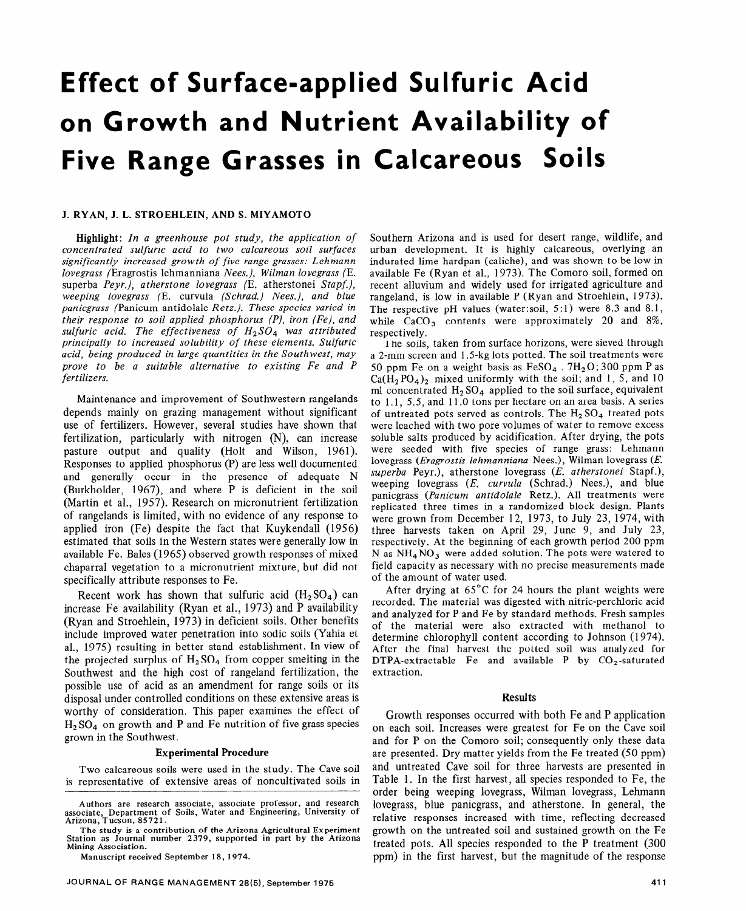# **Effect of Surface-applied Sulfuric Acid**  on **Growth and Nutrient Availability of Five Range Grasses in Calcareous Soils**

### J. RYAN, J. L. STROEHLEIN, AND S. MIYAMOTO

Highlight: *In a greenhouse pot study, the application of concentrated sulfuric acid to two calcareous soil surfaces significantly increased growth of five range grasses: Lehmann lovegrass* (Eragrostis lehmanniana Nees.), *Wilman lovegrass* (E. superba *Peyr.), atherstone lovegrass* (E. atherstonei *Stapf), weeping lovegrass* (E. curvula *(Schrad.) Nees.), and blue panicgrass* (Panicum antidolale *Retz.). These species varied in their response to soil applied phosphorus (P), iron (Fe), and sulfuric acid. The effectiveness of H2S04 was attributed principally to increased solubility of these elements. Sulfuric acid, being produced in large quantities in the Southwest, may prove to be a suitable alternative to existing Fe and P fertilizers.* 

Maintenance and improvement of Southwestern rangelands depends mainly on grazing management without significant use of fertilizers. However, several studies have shown that fertilization, particularly with nitrogen (N), can increase pasture output and quality (Holt and Wilson, 1961). Responses to applied phosphorus (P) are less well documented and generally occur in the presence of adequate N (Burkholder, 1967), and where P is deficient in the soil (Martin et al., 1957). Research on micronutrient fertilization of rangelands is limited, with no evidence of any response to applied iron (Fe) despite the fact that Kuykendall (1956) estimated that soils in the Western states were generally low in available Fe. Bales (1965) observed growth responses of mixed chaparral vegetation to a micronutrient mixture, but did not specifically attribute responses to Fe.

Recent work has shown that sulfuric acid  $(H_2SO_4)$  can increase Fe availability (Ryan et al., 1973) and P availability (Ryan and Stroehlein, 1973) in deficient soils. Other benefits include improved water penetration into sodic soils (Yahia et al., 1975) resulting in better stand establishment. In view of the projected surplus of  $H_2SO_4$  from copper smelting in the Southwest and the high cost of rangeland fertilization, the possible use of acid as an amendment for range soils or its disposal under controlled conditions on these extensive areas is worthy of consideration. This paper examines the effect of  $H<sub>2</sub>SO<sub>4</sub>$  on growth and P and Fe nutrition of five grass species grown in the Southwest.

#### Experimental Procedure

Two calcareous soils were used in the study. The Cave soil is representative of extensive areas of noncultivated soils in

**Manuscript received September 18, 1974.** 

Southern Arizona and is used for desert range, wildlife, and urban development. It is highly calcareous, overlying an indurated lime hardpan (caliche), and was shown to be low in available Fe (Ryan et al., 1973). The Comoro soil, formed on recent alluvium and widely used for irrigated agriculture and rangeland, is low in available P (Ryan and Stroehlein, 1973). The respective pH values (water:soil,  $5:1$ ) were 8.3 and 8.1, while  $CaCO<sub>3</sub>$  contents were approximately 20 and 8%, respectively.

I he soils, taken from surface horizons, were sieved through a 2-mm screen and 1.5-kg lots potted. The soil treatments were 50 ppm Fe on a weight basis as  $FeSO<sub>4</sub>$ .  $7H<sub>2</sub>O$ ; 300 ppm P as  $Ca(H_2PO_4)_2$  mixed uniformly with the soil; and 1, 5, and 10 ml concentrated  $H_2 SO_4$  applied to the soil surface, equivalent to 1.1, 5.5, and 11 .O tons per hectare on an area basis. A series of untreated pots served as controls. The  $H_2$  SO<sub>4</sub> treated pots were leached with two pore volumes of water to remove excess soluble salts produced by acidification. After drying, the pots were seeded with five species of range grass: Lehmann lovegrass *(Eragrostis lehmanniana Nees.),* Wilman lovegrass *(E. superba* Peyr.), atherstone lovegrass *(E. atherstonei* Stapf.), weeping lovegrass *(E. curvula* (Schrad.) Nees.), and blue panicgrass *(Panicum antidolale* Retz.). All treatments were replicated three times in a randomized block design. Plants were grown from December 12, 1973, to July 23, 1974, with three harvests taken on April 29, June 9, and July 23, respectively. At the beginning of each growth period 200 ppm N as  $NH_4NO_3$  were added solution. The pots were watered to field capacity as necessary with no precise measurements made of the amount of water used.

After drying at 65°C for 24 hours the plant weights were recorded. The material was digested with nitric-perchloric acid and analyzed for P and Fe by standard methods. Fresh samples of the material were also extracted with methanol to determine chlorophyll content according to Johnson (1974). After the final harvest the potted soil was analyzed for DTPA-extractable Fe and available P by  $CO_2$ -saturated extraction.

#### Results

Growth responses occurred with both Fe and P application on each soil. Increases were greatest for Fe on the Cave soil and for P on the Comoro soil; consequently only these data are presented. Dry matter yields from the Fe treated (50 ppm) and untreated Cave soil for three harvests are presented in Table 1. In the first harvest, all species responded to Fe, the order being weeping lovegrass, Wilman lovegrass, Lehmann lovegrass, blue panicgrass, and atherstone. In general, the relative responses increased with time, reflecting decreased growth on the untreated soil and sustained growth on the Fe treated pots. All species responded to the P treatment (300 ppm) in the first harvest, but the magnitude of the response

Authors are **research associate, associate professor, and** research associate, **Department of Soils, Water and Engineering,** University of **Arizona, Tucson, 85721.** 

**The study is a contribution of the Arizona Agricultural Experiment Station as Journal number 2379, supported in part by the Arizona Mining Association.**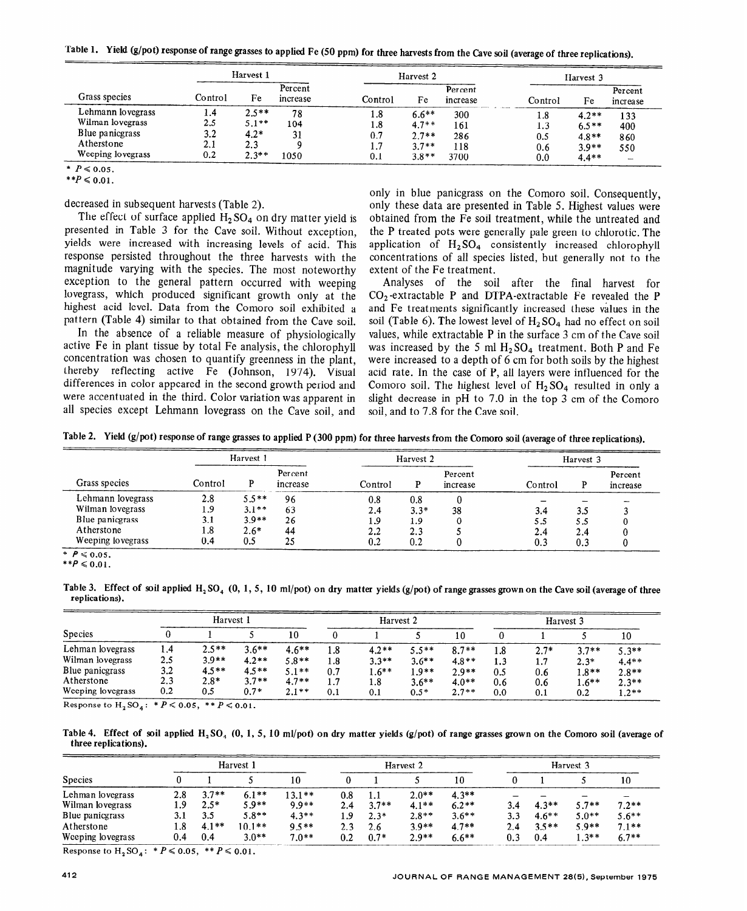|                   | Harvest 1 |         |                     | Harvest 2 |         |                     | Harvest 3 |         |                     |
|-------------------|-----------|---------|---------------------|-----------|---------|---------------------|-----------|---------|---------------------|
| Grass species     | Control   | Fe      | Percent<br>increase | Control   | Fe      | Percent<br>increase | Control   | Fe      | Percent<br>increase |
| Lehmann lovegrass | 1.4       | $2.5**$ | 78                  | 1.8       | $6.6**$ | 300                 | 1.8       | $4.2**$ | 133                 |
| Wilman lovegrass  | 2.5       | $5.1**$ | 104                 | 1.8       | $4.7**$ | 161                 | 1.3       | $6.5**$ | 400                 |
| Blue panicgrass   | 3.2       | $4.2*$  | 31                  | 0.7       | $2.7**$ | 286                 | 0.5       | $4.8**$ | 860                 |
| Atherstone        | 2.1       | 2.3     |                     | 1.7       | $3.7**$ | 118                 | 0.6       | $3.9**$ | 550                 |
| Weeping lovegrass | 0.2       | $2.3**$ | 1050                | 0.1       | $3.8**$ | 3700                | 0.0       | $4.4**$ |                     |

**Table 1. Yield (g/pot) response of range grasses to applied Fe (50 ppm) for three harvests from the Cave soil (average of three replications).** 

 $*$   $P \le 0.05$ .

 $**P \le 0.01$ .

decreased in subsequent harvests (Table 2).

The effect of surface applied  $H_2 SO_4$  on dry matter yield is presented in Table 3 for the Cave soil. Without exception, yields were increased with increasing levels of acid. This response persisted throughout the three harvests with the magnitude varying with the species. The most noteworthy exception to the general pattern occurred with weeping lovegrass, which produced significant growth only at the highest acid level. Data from the Comoro soil exhibited a pattern (Table 4) similar to that obtained from the Cave soil.

In the absence of a reliable measure of physiologically active Fe in plant tissue by total Fe analysis, the chlorophyll concentration was chosen to quantify greenness in the plant, thereby reflecting active Fe (Johnson, 1974). Visual differences in color appeared in the second growth period and were accentuated in the third. Color variation was apparent in all species except Lehmann lovegrass on the Cave soil, and

only in blue panicgrass on the Comoro soil. Consequently, only these data are presented in Table 5. Highest values were obtained from the Fe soil treatment, while the untreated and the P treated pots were generally pale green to chlorotic. The application of  $H_2SO_4$  consistently increased chlorophyll concentrations of all species listed, but generally not to the extent of the Fe treatment.

Analyses of the soil after the final harvest for  $CO<sub>2</sub>$ -extractable P and DTPA-extractable Fe revealed the P and Fe treatments significantly increased these values in the soil (Table 6). The lowest level of  $H_2 SO_4$  had no effect on soil values, while extractable P in the surface 3 cm of the Cave soil was increased by the 5 ml  $H_2SO_4$  treatment. Both P and Fe were increased to a depth of 6 cm for both soils by the highest acid rate. In the case of P, all layers were influenced for the Comoro soil. The highest level of  $H_2SO_4$  resulted in only a slight decrease in pH to 7.0 in the top 3 cm of the Comoro soil, and to 7.8 for the Cave soil.

**Table 2. Yield (g/pot) response of range grasses to applied P (300 ppm) for three harvests from the Comoro soil (average of three replications).** 

| Grass species     | Harvest 1 |          |                     | Harvest 2  |         |                     | Harvest 3 |     |                     |
|-------------------|-----------|----------|---------------------|------------|---------|---------------------|-----------|-----|---------------------|
|                   | Control   |          | Percent<br>increase | Control    | Р       | Percent<br>increase | Control   |     | Percent<br>increase |
| Lehmann lovegrass | 2.8       | $5.5**$  | 96                  | 0.8        | 0.8     |                     |           |     |                     |
| Wilman lovegrass  | 1.9       | $3.1***$ | 63                  | 2.4        | $3.3*$  | 38                  | 3.4       | 3.5 |                     |
| Blue panicgrass   | 3.1       | $3.9**$  | 26                  | <b>1.9</b> | 1.9     |                     | 5.5       | 5.5 |                     |
| Atherstone        | 1.8       | $2.6*$   | 44                  | 2.2        | 2.3     |                     | 2.4       | 2.4 |                     |
| Weeping lovegrass | 0.4       | 0.5      | 25                  | 0.2        | $0.2\,$ |                     | 0.3       | 0.3 |                     |

 $P \leqslant 0.05$ .

*\*\*p <* **0.01.** 

Table 3. Effect of soil applied H<sub>2</sub>SO<sub>4</sub> (0, 1, 5, 10 ml/pot) on dry matter yields (g/pot) of range grasses grown on the Cave soil (average of three **replications).** 

|                   | Harvest 1    |         |          |          | Harvest <sub>2</sub> |         |         |         | Harvest <sub>3</sub> |        |         |         |
|-------------------|--------------|---------|----------|----------|----------------------|---------|---------|---------|----------------------|--------|---------|---------|
| <b>Species</b>    |              |         |          | 10       |                      |         |         | 10      |                      |        |         | 10      |
| Lehman lovegrass  | 1.4          | $2.5**$ | $3.6***$ | $4.6***$ | 1.8                  | $4.2**$ | $5.5**$ | $8.7**$ | 1.8                  | $2.7*$ | $3.7**$ | $5.3**$ |
| Wilman lovegrass  | 2.5          | $3.9**$ | $4.2**$  | $5.8**$  | 1.8                  | $3.3**$ | $3.6**$ | $4.8**$ |                      | 1.7    | $2.3*$  | $4.4**$ |
| Blue panicgrass   | 3.2          | $4.5**$ | $4.5**$  | $5.1**$  | 0.7                  | 1.6**   | $1.9**$ | $2.9**$ | 0.5                  | 0.6    | $1.8**$ | $2.8**$ |
| Atherstone        | 2.3          | $2.8*$  | $3.7**$  | $4.7**$  | 1.7                  | 1.8     | $3.6**$ | $4.0**$ | 0.6                  | 0.6    | $1.6**$ | $2.3**$ |
| Weeping lovegrass | $_{\rm 0.2}$ | 0.5     | $0.7*$   | $2.1**$  | 0.1                  | 0.1     | $0.5*$  | $2.7**$ | 0.0                  | 0.1    | 0.2     | $1.2**$ |

Response to  $H_2SO_4: P \le 0.05, P \le 0.01$ .

Table 4. Effect of soil applied H<sub>2</sub>SO<sub>4</sub> (0, 1, 5, 10 ml/pot) on dry matter yields (g/pot) of range grasses grown on the Comoro soil (average of **three replications).** 

|                   | Harvest 1 |         |          |          | Harvest <sub>2</sub> |         |         |          | Harvest 3 |          |          |                          |
|-------------------|-----------|---------|----------|----------|----------------------|---------|---------|----------|-----------|----------|----------|--------------------------|
| <b>Species</b>    |           |         |          | 10       |                      |         |         | 10       |           |          |          | 10                       |
| Lehman lovegrass  | 2.8       | $3.7**$ | $6.1**$  | $13.1**$ | 0.8                  | 1.1     | $2.0**$ | $4.3**$  |           |          |          | $\overline{\phantom{a}}$ |
| Wilman lovegrass  | 1.9       | $2.5*$  | $5.9**$  | $9.9**$  | 2.4                  | $3.7**$ | $4.1**$ | $6.2**$  | 3.4       | $4.3**$  | $5.7**$  | $7.2**$                  |
| Blue panicgrass   | 3.1       | 3.5     | $5.8**$  | $4.3**$  | 1.9                  | $2.3*$  | $2.8**$ | $3.6$ ** | 3.3       | $4.6***$ | $5.0**$  | $5.6***$                 |
| Atherstone        | l .8      | $4.1**$ | $10.1**$ | $9.5**$  | 2.3                  | 2.6     | $3.9**$ | $4.7**$  | 2.4       | $3.5**$  | $5.9**$  | $7.1**$                  |
| Weeping lovegrass | 0.4       | 0.4     | $3.0**$  | $7.0**$  | 0.2                  | $0.7*$  | $2.9**$ | $6.6***$ | 0.3       | 0.4      | $1.3***$ | $6.7**$                  |

Response to  $H_2SO_4$ :  $*P \le 0.05$ ,  $*P \le 0.01$ .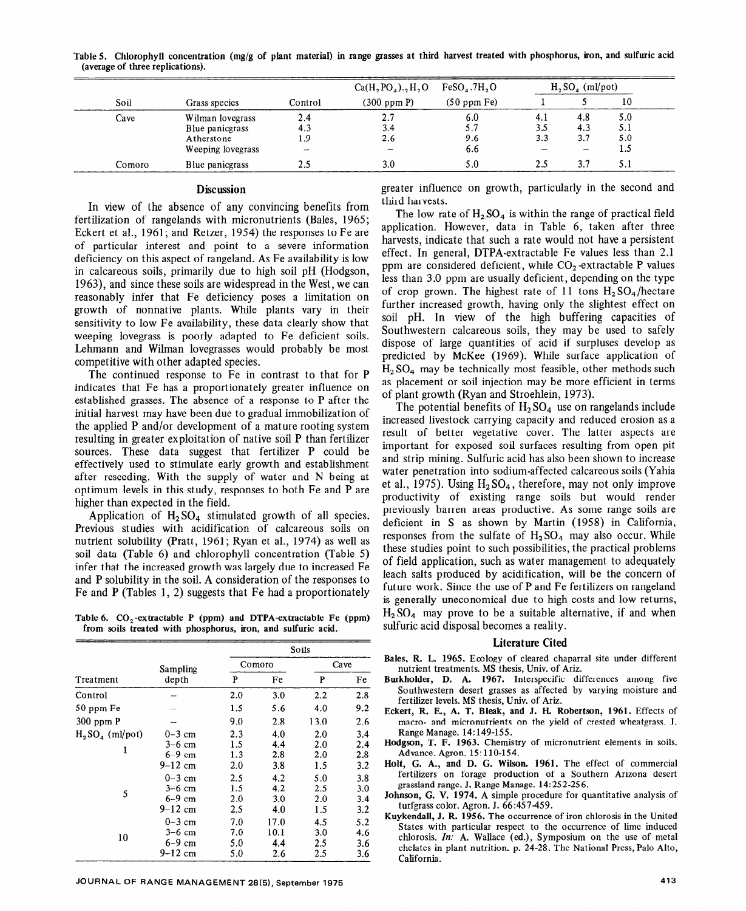|        |                   |         | $Ca(H_2PO_4)._2H_2O$ | $FeSO4$ .7H, O   | $H, SO4$ (ml/pot) |     |     |
|--------|-------------------|---------|----------------------|------------------|-------------------|-----|-----|
| Soil   | Grass species     | Control | $(300$ ppm $P)$      | $(50$ ppm Fe $)$ |                   |     | 10  |
| Cave   | Wilman lovegrass  | 2.4     | 2.7                  | 6.0              | 4.1               | 4.8 | 5.0 |
|        | Blue panicgrass   | 4.3     | 3.4                  | 5.7              | 3.5               | 4.3 | 5.1 |
|        | Atherstone        | 1.9     | 2.6                  | 9.6              | 3.3               | 3.7 | 5.0 |
|        | Weeping lovegrass | $\sim$  |                      | 6.6              |                   |     | 1.5 |
| Comoro | Blue panicgrass   | 2.5     | 3.0                  | 5.0              | 2.5               | 3.7 | 5.1 |

**Table 5. Chlorophyll concentration (mg/g of plant material) in range grasses at third harvest treated with phosphorus, iron, and sulfuric acid (average of three replications).** 

## **Discussion**

In view of the absence of any convincing benefits from fertilization of rangelands with micronutrients (Bales, 1965; Eckert et al., 1961; and Retzer, 1954) the responses to Fe are of particular interest and point to a severe information deficiency on this aspect of rangeland. As Fe availability is low in calcareous soils, primarily due to high soil pH (Hodgson, 1963), and since these soils are widespread in the West, we can reasonably infer that Fe deficiency poses a limitation on growth of nonnative plants. While plants vary in their sensitivity to low Fe availability, these data clearly show that weeping lovegrass is poorly adapted to Fe deficient soils. Lehmann and Wilman lovegrasses would probably be most competitive with other adapted species.

The continued response to Fe in contrast to that for P indicates that Fe has a proportionately greater influence on established grasses. The absence of a response to P after the initial harvest may have been due to gradual immobilization of the applied P and/or development of a mature rooting system resulting in greater exploitation of native soil P than fertilizer sources. These data suggest that fertilizer P could be effectively used to stimulate early growth and establishment after reseeding. With the supply of water and N being at optimum levels in this study, responses to both Fe and P are higher than expected in the field.

Application of  $H_2SO_4$  stimulated growth of all species. Previous studies with acidification of calcareous soils on nutrient solubility (Pratt, 1961; Ryan et al., 1974) as well as soil data (Table 6) and chlorophyll concentration (Table 5) infer that the increased growth was largely due to increased Fe and P solubility in the soil. A consideration of the responses to Fe and P (Tables 1, 2) suggests that Fe had a proportionately

**Table 6. CO,-extractable P (ppm) and DTPA-extractable Fe (ppm) from soils treated with phosphorus, iron, and sulfuric acid.** 

|                  |             |     |        | Soils |     |  |
|------------------|-------------|-----|--------|-------|-----|--|
|                  | Sampling    |     | Comoro | Cave  |     |  |
| Treatment        | depth       | P   | Fe     | P     | Fe  |  |
| Control          |             | 2.0 | 3.0    | 2.2   | 2.8 |  |
| 50 ppm Fe        |             | 1.5 | 5.6    | 4.0   | 9.2 |  |
| $300$ ppm $P$    |             | 9.0 | 2.8    | 13.0  | 2.6 |  |
| $H2SO4$ (ml/pot) | $0-3$ cm    | 2.3 | 4.0    | 2.0   | 3.4 |  |
|                  | $3-6$ cm    | 1.5 | 4.4    | 2.0   | 2.4 |  |
| 1                | $6-9$ cm    | 1.3 | 2.8    | 2.0   | 2.8 |  |
|                  | $9 - 12$ cm | 2.0 | 3.8    | 1.5   | 3.2 |  |
|                  | $0-3$ cm    | 2.5 | 4.2    | 5.0   | 3.8 |  |
|                  | $3-6$ cm    | 1.5 | 4.2    | 2.5   | 3.0 |  |
| 5                | $6-9$ cm    | 2.0 | 3.0    | 2.0   | 3.4 |  |
|                  | $9 - 12$ cm | 2.5 | 4.0    | 1.5   | 3.2 |  |
|                  | $0-3$ cm    | 7.0 | 17.0   | 4.5   | 5.2 |  |
|                  | $3-6$ cm    | 7.0 | 10.1   | 3.0   | 4.6 |  |
| 10               | $6-9$ cm    | 5.0 | 4.4    | 2.5   | 3.6 |  |
|                  | $9 - 12$ cm | 5.0 | 2.6    | 2.5   | 3.6 |  |

greater influence on growth, particularly in the second and third harvests.

The low rate of  $H_2 SO_4$  is within the range of practical field application. However, data in Table 6, taken after three harvests, indicate that such a rate would not have a persistent effect. In general, DTPA-extractable Fe values less than 2.1 ppm are considered deficient, while  $CO<sub>2</sub>$ -extractable P values less than 3.0 ppm are usually deficient, depending on the type of crop grown. The highest rate of 11 tons  $H_2SO_4$ /hectare further increased growth, having only the slightest effect on soil pH. In view of the high buffering capacities of Southwestern calcareous soils, they may be used to safely dispose of large quantities of acid if surpluses develop as predicted by McKee (1969). While surface application of  $H<sub>2</sub>SO<sub>4</sub>$  may be technically most feasible, other methods such as placement or soil injection may be more efficient in terms of plant growth (Ryan and Stroehlein, 1973).

The potential benefits of  $H_2$  SO<sub>4</sub> use on rangelands include increased livestock carrying capacity and reduced erosion as a result of better vegetative cover. The latter aspects are important for exposed soil surfaces resulting from open pit and strip mining. Sulfuric acid has also been shown to increase water penetration into sodium-affected calcareous soils (Yahia et al., 1975). Using  $H_2SO_4$ , therefore, may not only improve productivity of existing range soils but would render previously barren areas productive. As some range soils are deficient in S as shown by Martin (1958) in California, responses from the sulfate of  $H_2SO_4$  may also occur. While these studies point to such possibilities, the practical problems of field application, such as water management to adequately leach salts produced by acidification, will be the concern of future work. Since the use of P and Fe fertilizers on rangeland is generally uneconomical due to high costs and low returns,  $H_2$  SO<sub>4</sub> may prove to be a suitable alternative, if and when sulfuric acid disposal becomes a reality.

#### **Literature Cited**

- Bales, R. L. 1965. Ecology of cleared chaparral site under different nutrient treatments. MS thesis, Univ. of Ariz.
- **Burkholder, D. A. 1967.** Interspecific differences among five Southwestern desert grasses as affected by varying moisture and fertilizer levels. MS thesis, Univ. of Ariz.
- **Eckert, R. E., A. T. Bleak, and J. H. Robertson, 1961.** Effects of macro- and micronutrients on the yield of crested wheatgrass. J. Range Manage. 14:149-155.
- Hodgson, **T. F. 1963.** Chemistry of micronutrient elements in soils. Advance. Agron. 15: 110-154.
- **Holt, G. A., and D. G. Wilson. 1961.** The effect of commercial fertilizers on forage production of a Southern Arizona desert grassland range. J. Range Manage. 14: 252-25 6.
- Johnson, G. **V. 1974.** A simple procedure for quantitative analysis of turfgrass color. Agron. J. 66:457459.
- Kuykendall, J. R. **1956.** The occurrence of iron chlorosis in the United States with particular respect to the occurrence of lime induced chlorosis. In: A. Wallace (ed.), Symposium on the use of metal chelates in plant nutrition. p. 24-28. The National Press, Palo Alto, California.